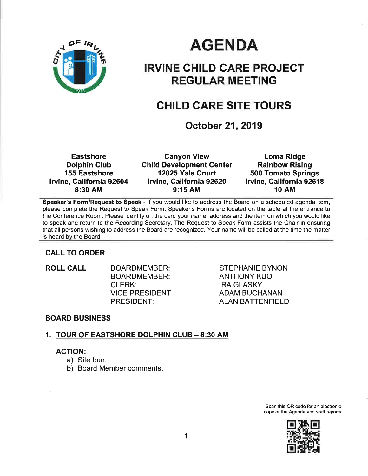

# AGENDA

# IRVINE CHILD CARE PROJECT REGULAR MEETING

# CHILD CARE SITE TOURS

October 21, 2019

**Eastshore** Dolphin Glub 155 Eastshore lrvine, California 92604 8:30 AM

Canyon View **Child Development Center** 12025 Yale Court lrvine, California 92620 9:15 AM

Loma Ridge Rainbow Rising 500 Tomato Springs Irvine, California 92618 1O AM

Speaker's Form/Request to Speak - If you would like to address the Board on a scheduled agenda item, please complete the Request to Speak Form. Speaker's Forms are located on the table at the entrance to the Conference Room. Please identify on the card your name, address and the item on which you would like to speak and return to the Recording Secretary. The Request to Speak Form assists the Chair in ensuring that all persons wishing to address the Board are recognized. Your name will be called at the time the matter is heard by the Board.

#### CALL TO ORDER

ROLL CALL BOARDMEMBER: BOARDMEMBER: CLERK: VICE PRESIDENT: PRESIDENT:

STEPHANIE BYNON ANTHONY KUO IRA GLASKY ADAM BUCHANAN ALAN BATTENFIELD

#### BOARD BUSINESS

#### 1. TOUR OF EASTSHORE DOLPHIN CLUB - 8:30 AM

#### AGTION:

- a) Site tour.
- b) Board Member comments

Scan this QR code for an electronic copy of the Agenda and staff reports.

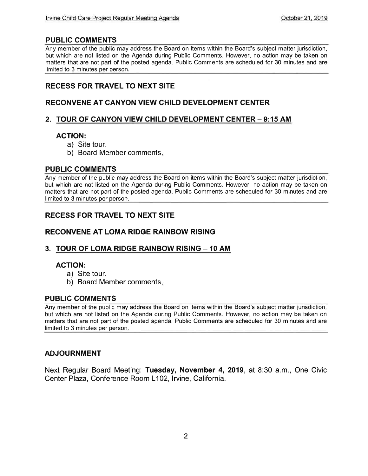#### PUBLIC COMMENTS

Any member of the public may address the Board on items within the Board's subject matter jurisdiction, but which are not listed on the Agenda during Public Comments. However, no action may be taken on matters that are not part of the posted agenda. Public Comments are scheduled for 30 minutes and are limited to 3 minutes per person.

#### RECESS FOR TRAVEL TO NEXT SITE

#### RECONVENE AT CANYON VIEW CHILD DEVELOPMENT CENTER

#### 2. TOUR OF CANYON VIEW CHILD DEVELOPMENT CENTER - 9:15 AM

#### ACTION:

- a) Site tour.
- b) Board Member comments

#### PUBLIC COMMENTS

Any member of the public may address the Board on items within the Board's subject matter jurisdiction, but which are not listed on the Agenda during Public Comments. However, no action may be taken on matters that are not part of the posted agenda. Public Comments are scheduled for 30 minutes and are limited to 3 minutes per person.

#### RECESS FOR TRAVEL TO NEXT SITE

#### RECONVENE AT LOMA RIDGE RAINBOW RISING

#### 3. TOUR OF LOMA RIDGE RAINBOW RISING - 10 AM

#### ACTION:

- a) Site tour.
- b) Board Member comments

#### PUBLIG COMMENTS

Any member of the public may address the Board on items within the Board's subject matter jurisdiction, but which are not listed on the Agenda during Public Comments. However, no action may be taken on matters that are not part of the posted agenda. Public Comments are scheduled for 30 minutes and are limited to 3 minutes per person.

#### ADJOURNMENT

Next Regular Board Meeting: Tuesday, November 4, 2019, at 8:30 a.m., One Civic Center Plaza, Conference Room L102, Irvine, California.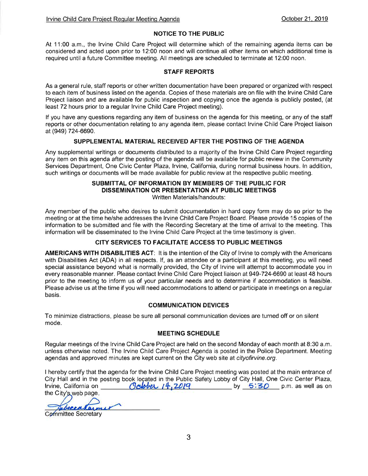#### NOTICE TO THE PUBLIC

At 11:00 a.m., the lrvine Child Care Project will determine which of the remaining agenda items can be considered and acted upon priorto 12:00 noon and will continue all other items on which additional time is required untila future Committee meeting. All meetings are scheduled to terminate at 12:00 noon.

#### STAFF REPORTS

As a general rule, staff reports or other written documentation have been prepared or organized with respect to each item of business listed on the agenda. Copies of these materials are on file with the lrvine Child Care Project liaison and are available for public inspection and copying once the agenda is publicly posted, (at least 72 hours prior to a regular Irvine Child Care Project meeting).

lf you have any questions regarding any item of business on the agenda for this meeting, or any of the staff reports or other documentation relating to any agenda item, please contact lrvine Child Care Project liaison at (9a9) 724-6690.

#### SUPPLEMENTAL MATERIAL RECEIVED AFTER THE POSTING OF THE AGENDA

Any supplemental writings or documents distributed to a majority of the lrvine Child Care Project regarding any item on this agenda after the posting of the agenda will be available for public review in the Community Services Department, One Civic Center Plaza, Irvine, California, during normal business hours. In addition, such writings or documents will be made available for public review at the respective public meeting.

#### SUBMITTAL OF INFORMATION BY MEMBERS OF THE PUBLIC FOR DISSEMINATION OR PRESENTATION AT PUBLIC MEETINGS Written Materials/handouts:

Any member of the public who desires to submit documentation in hard copy form may do so prior to the meeting or at the time he/she addresses the lrvine Child Care Project Board. Please provide '15 copies of the information to be submitted and file with the Recording Secretary at the time of arrival to the meeting. This information will be disseminated to the lrvine Child Care Project at the time testimony is given.

#### CITY SERVICES TO FACILITATE AGCESS TO PUBLIC MEETINGS

AMERICANS WITH DISABILITIES ACT: lt is the intention of the City of lrvine to comply with the Americans with Disabilities Act (ADA) in all respects. If, as an attendee or a participant at this meeting, you will need special assistance beyond what is normally provided, the City of lrvine will attempt to accommodate you in every reasonable manner. Please contact Irvine Child Care Project liaison at 949-724-6690 at least 48 hours prior to the meeting to inform us of your particular needs and to determine if accommodation is feasible. Please advise us at the time if you will need accommodations to attend or participate in meetings on a regular basis.

#### COMMUNICATION DEVICES

To minimize distractions, please be sure all personal communication devices are turned off or on silent mode.

#### MEETING SCHEDULE

Regular meetings of the lrvine Child Care Project are held on the second Monday of each month at 8:30 a.m. unless otherwise noted. The lrvine Child Care Project Agenda is posted in the Police Department. Meeting agendas and approved minutes are kept current on the City web site at cityofirvine.org.

I hereby certify that the agenda for the Irvine Child Care Project meeting was posted at the main entrance of City Hall and in the posting book loçated in the Public Safety Lobby lrvine, California on the City'<u>s web</u> page ok located in the Public Safety Lobby of City Hall, One Civic Center Plaza,<br>Octobe 14, 2019

 $A$ *m* 

Committee Secretary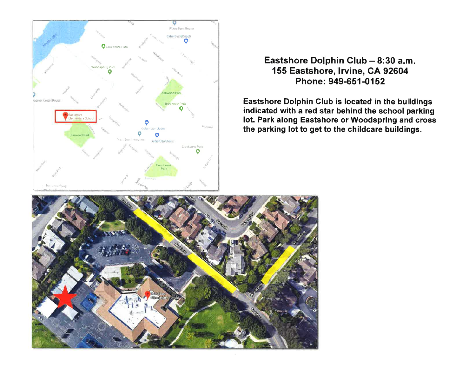

### Eastshore Dolphin Club - 8:30 a.m. 155 Eastshore, Irvine, CA 92604 Phone: 949-651-0152

Eastshore Dolphin Club is located in the buildings indicated with a red star behind the school parking lot. Park along Eastshore or Woodspring and cross the parking lot to get to the childcare buildings.

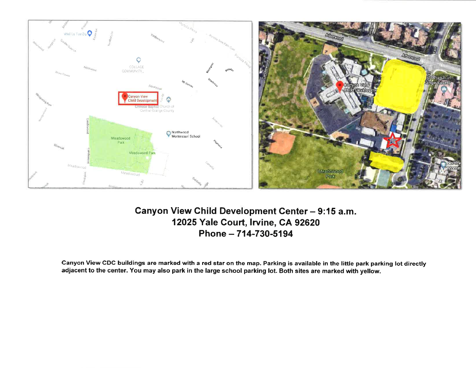

## Canyon View Child Development Center - 9:15 a.m. 12025 Yale Court, Irvine, CA 92620 Phone - 714-730-5194

Canyon View CDC buildings are marked with a red star on the map. Parking is available in the little park parking lot directly adjacent to the center. You may also park in the large school parking lot. Both sites are marked with yellow.